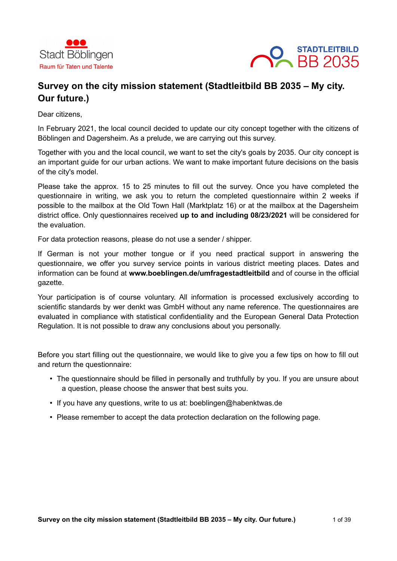



# **Survey on the city mission statement (Stadtleitbild BB 2035 – My city. Our future.)**

Dear citizens,

In February 2021, the local council decided to update our city concept together with the citizens of Böblingen and Dagersheim. As a prelude, we are carrying out this survey.

Together with you and the local council, we want to set the city's goals by 2035. Our city concept is an important guide for our urban actions. We want to make important future decisions on the basis of the city's model.

Please take the approx. 15 to 25 minutes to fill out the survey. Once you have completed the questionnaire in writing, we ask you to return the completed questionnaire within 2 weeks if possible to the mailbox at the Old Town Hall (Marktplatz 16) or at the mailbox at the Dagersheim district office. Only questionnaires received **up to and including 08/23/2021** will be considered for the evaluation.

For data protection reasons, please do not use a sender / shipper.

If German is not your mother tongue or if you need practical support in answering the questionnaire, we offer you survey service points in various district meeting places. Dates and information can be found at **www.boeblingen.de/umfragestadtleitbild** and of course in the official gazette.

Your participation is of course voluntary. All information is processed exclusively according to scientific standards by wer denkt was GmbH without any name reference. The questionnaires are evaluated in compliance with statistical confidentiality and the European General Data Protection Regulation. It is not possible to draw any conclusions about you personally.

Before you start filling out the questionnaire, we would like to give you a few tips on how to fill out and return the questionnaire:

- The questionnaire should be filled in personally and truthfully by you. If you are unsure about a question, please choose the answer that best suits you.
- If you have any questions, write to us at: boeblingen@habenktwas.de
- Please remember to accept the data protection declaration on the following page.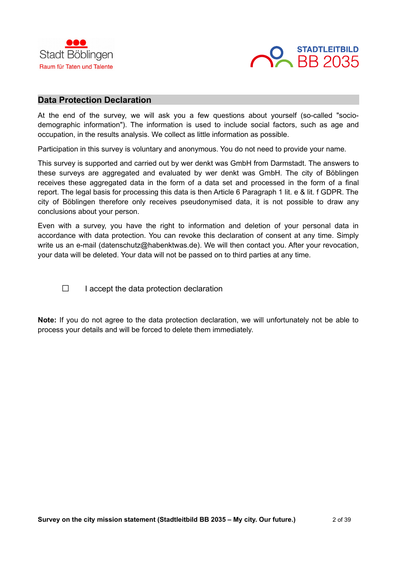



### **Data Protection Declaration**

At the end of the survey, we will ask you a few questions about yourself (so-called "sociodemographic information"). The information is used to include social factors, such as age and occupation, in the results analysis. We collect as little information as possible.

Participation in this survey is voluntary and anonymous. You do not need to provide your name.

This survey is supported and carried out by wer denkt was GmbH from Darmstadt. The answers to these surveys are aggregated and evaluated by wer denkt was GmbH. The city of Böblingen receives these aggregated data in the form of a data set and processed in the form of a final report. The legal basis for processing this data is then Article 6 Paragraph 1 lit. e & lit. f GDPR. The city of Böblingen therefore only receives pseudonymised data, it is not possible to draw any conclusions about your person.

Even with a survey, you have the right to information and deletion of your personal data in accordance with data protection. You can revoke this declaration of consent at any time. Simply write us an e-mail (datenschutz@habenktwas.de). We will then contact you. After your revocation, your data will be deleted. Your data will not be passed on to third parties at any time.

 $\Box$  I accept the data protection declaration

**Note:** If you do not agree to the data protection declaration, we will unfortunately not be able to process your details and will be forced to delete them immediately.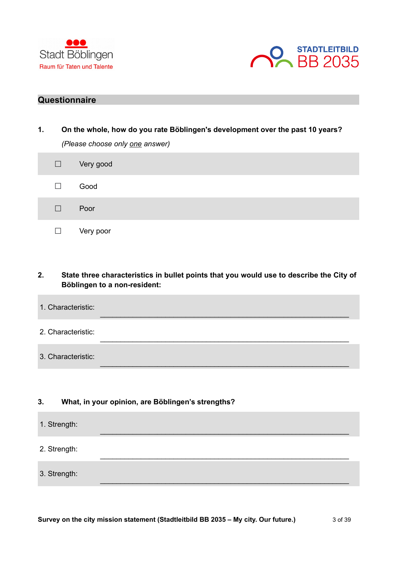



# **Questionnaire**

| 1. | On the whole, how do you rate Böblingen's development over the past 10 years?<br>(Please choose only one answer) |
|----|------------------------------------------------------------------------------------------------------------------|
|    | Very good                                                                                                        |
|    | Good                                                                                                             |
|    | Poor                                                                                                             |
|    | Very poor                                                                                                        |

# **2. State three characteristics in bullet points that you would use to describe the City of Böblingen to a non-resident:**

\_\_\_\_\_\_\_\_\_\_\_\_\_\_\_\_\_\_\_\_\_\_\_\_\_\_\_\_\_\_\_\_\_\_\_\_\_\_\_\_\_\_\_\_\_\_\_\_\_\_\_\_\_\_\_\_\_\_\_\_\_

 $\mathcal{L}_\text{max}$  , and the set of the set of the set of the set of the set of the set of the set of the set of the set of the set of the set of the set of the set of the set of the set of the set of the set of the set of the

\_\_\_\_\_\_\_\_\_\_\_\_\_\_\_\_\_\_\_\_\_\_\_\_\_\_\_\_\_\_\_\_\_\_\_\_\_\_\_\_\_\_\_\_\_\_\_\_\_\_\_\_\_\_\_\_\_\_\_\_\_

 $\_$  , and the set of the set of the set of the set of the set of the set of the set of the set of the set of the set of the set of the set of the set of the set of the set of the set of the set of the set of the set of th

- 1. Characteristic:
- 2. Characteristic:
- 3. Characteristic:

## **3. What, in your opinion, are Böblingen's strengths?**

- 1. Strength:
- 2. Strength:
- 3. Strength: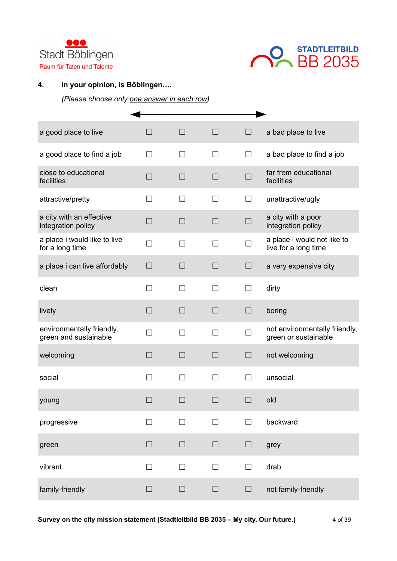



# **4. In your opinion, is Böblingen….**

| a good place to live                               | $\Box$            | $\Box$ | $\Box$       | $\Box$       | a bad place to live                                   |
|----------------------------------------------------|-------------------|--------|--------------|--------------|-------------------------------------------------------|
| a good place to find a job                         | $\vert \ \ \vert$ | П      | П            | $\mathsf{L}$ | a bad place to find a job                             |
| close to educational<br>facilities                 | $\Box$            | $\Box$ | $\Box$       | $\Box$       | far from educational<br>facilities                    |
| attractive/pretty                                  | $\mathsf{L}$      | $\Box$ | $\mathsf{L}$ | $\Box$       | unattractive/ugly                                     |
| a city with an effective<br>integration policy     | $\Box$            | П      | П            | $\Box$       | a city with a poor<br>integration policy              |
| a place i would like to live<br>for a long time    | П                 | П      | П            |              | a place i would not like to<br>live for a long time   |
| a place i can live affordably                      | $\Box$            | $\Box$ | $\Box$       | $\Box$       | a very expensive city                                 |
| clean                                              | П                 | П      | П            | $\Box$       | dirty                                                 |
| lively                                             | $\Box$            | $\Box$ | $\Box$       | $\Box$       | boring                                                |
| environmentally friendly,<br>green and sustainable | $\Box$            | П      | П            | $\Box$       | not environmentally friendly,<br>green or sustainable |
| welcoming                                          | $\Box$            | $\Box$ | $\Box$       | $\Box$       | not welcoming                                         |
| social                                             | $\Box$            | П      | П            | $\Box$       | unsocial                                              |
| young                                              | ٠                 | $\Box$ | П            | $\Box$       | old                                                   |
| progressive                                        |                   | П      | П            |              | backward                                              |
| green                                              | $\Box$            | $\Box$ | $\Box$       | $\Box$       | grey                                                  |
| vibrant                                            | $\Box$            | $\Box$ | $\Box$       | $\Box$       | drab                                                  |
| family-friendly                                    | $\Box$            | $\Box$ | $\Box$       | $\Box$       | not family-friendly                                   |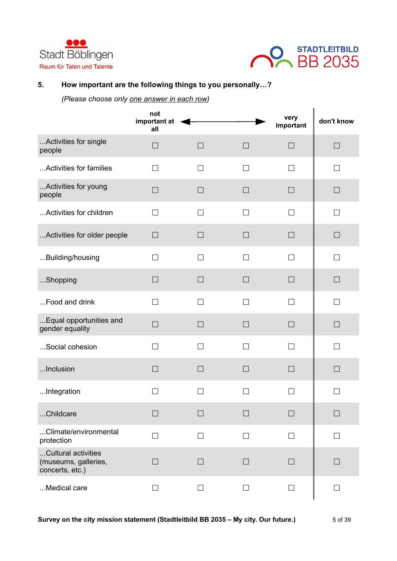



# **5. How important are the following things to you personally…?**

|                                                                | not<br>important at<br>all |                   |                   | very<br>important | don't know               |
|----------------------------------------------------------------|----------------------------|-------------------|-------------------|-------------------|--------------------------|
| Activities for single<br>people                                | П                          | П                 | П                 | $\mathsf{L}$      | $\Box$                   |
| Activities for families                                        | $\Box$                     | $\Box$            | $\mathsf{L}$      | $\mathsf{L}$      | $\mathcal{L}$            |
| Activities for young<br>people                                 | $\Box$                     | П                 | П                 | П                 | $\Box$                   |
| Activities for children                                        | $\Box$                     | $\Box$            | П                 | П                 | П                        |
| Activities for older people                                    | $\Box$                     | $\Box$            |                   |                   | $\Box$                   |
| Building/housing                                               | ┓                          | П                 | $\mathsf{L}$      | $\mathsf{L}$      | П                        |
| Shopping                                                       | $\Box$                     | $\Box$            | $\Box$            | $\Box$            | $\Box$                   |
| Food and drink                                                 | П                          | П                 | П                 | П                 | $\Box$                   |
| Equal opportunities and<br>gender equality                     | $\Box$                     | $\Box$            | П                 | $\Box$            | $\Box$                   |
| Social cohesion                                                | $\Box$                     | П                 | П                 |                   | П                        |
| Inclusion                                                      | $\Box$                     | $\vert \ \ \vert$ | $\vert \ \ \vert$ | $\vert \ \ \vert$ | $\Box$                   |
| Integration                                                    | $\overline{\phantom{0}}$   | $\mathsf{L}$      | $\vert$ $\vert$   | $\mathsf{L}$      | $\Box$                   |
| Childcare                                                      | $\vert$ $\vert$            | $\vert \ \ \vert$ | $\Box$            | $\Box$            | $\Box$                   |
| Climate/environmental<br>protection                            | П                          | $\Box$            | П                 | П                 | $\mathsf{L}$             |
| Cultural activities<br>(museums, galleries,<br>concerts, etc.) | П                          | П                 | $\Box$            | П                 | $\Box$                   |
| Medical care                                                   | $\Box$                     | П                 | $\mathsf{L}$      | П                 | $\overline{\phantom{a}}$ |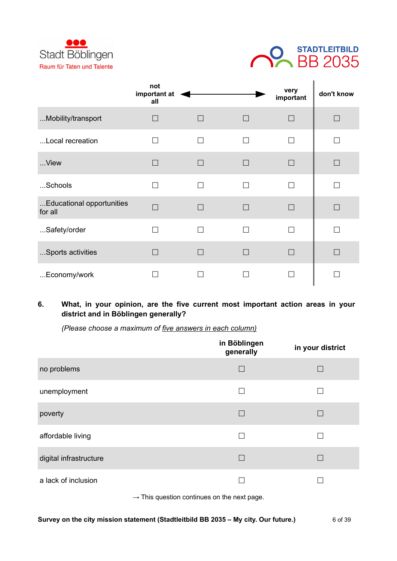



|                                      | not<br>important at<br>all |        |        | very<br>important | don't know |
|--------------------------------------|----------------------------|--------|--------|-------------------|------------|
| Mobility/transport                   | $\Box$                     | $\Box$ | $\Box$ | П                 | $\Box$     |
| Local recreation                     | $\Box$                     | П      | П      | П                 |            |
| View                                 | $\Box$                     | $\Box$ | $\Box$ | П                 | $\Box$     |
| Schools                              | $\Box$                     | П      | П      | □                 |            |
| Educational opportunities<br>for all | П                          | $\Box$ | $\Box$ | П                 | $\Box$     |
| Safety/order                         | □                          | П      | □      |                   |            |
| Sports activities                    | $\Box$                     | $\Box$ | $\Box$ | П                 |            |
| Economy/work                         |                            |        |        |                   |            |

# **6. What, in your opinion, are the five current most important action areas in your district and in Böblingen generally?**

*(Please choose a maximum of five answers in each column)*

|                        | in Böblingen<br>generally | in your district |
|------------------------|---------------------------|------------------|
| no problems            |                           |                  |
| unemployment           | $\overline{\phantom{0}}$  |                  |
| poverty                | $\Box$                    | <b>Talling</b>   |
| affordable living      |                           |                  |
| digital infrastructure | $\Box$                    |                  |
| a lack of inclusion    |                           |                  |

 $\rightarrow$  This question continues on the next page.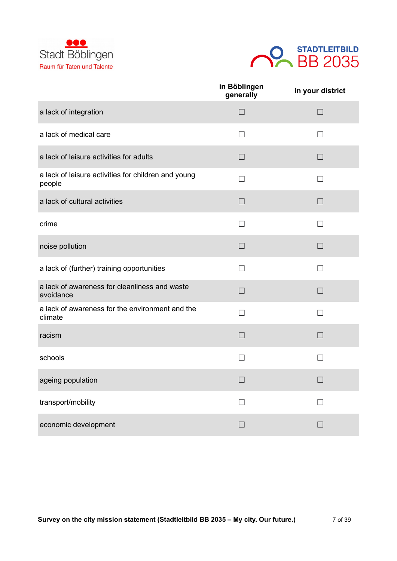



|                                                               | in Böblingen<br>generally | in your district |
|---------------------------------------------------------------|---------------------------|------------------|
| a lack of integration                                         | $\Box$                    | $\Box$           |
| a lack of medical care                                        | $\Box$                    | $\perp$          |
| a lack of leisure activities for adults                       | $\Box$                    | П                |
| a lack of leisure activities for children and young<br>people | $\Box$                    | П                |
| a lack of cultural activities                                 | $\Box$                    | $\Box$           |
| crime                                                         | $\mathsf{L}$              |                  |
| noise pollution                                               | $\Box$                    | $\Box$           |
| a lack of (further) training opportunities                    | П                         | П                |
| a lack of awareness for cleanliness and waste<br>avoidance    | $\Box$                    | $\Box$           |
| a lack of awareness for the environment and the<br>climate    | П                         | ⊓                |
| racism                                                        | $\Box$                    | $\Box$           |
| schools                                                       |                           |                  |
| ageing population                                             | $\Box$                    | $\Box$           |
| transport/mobility                                            | $\Box$                    | П                |
| economic development                                          | $\Box$                    | П                |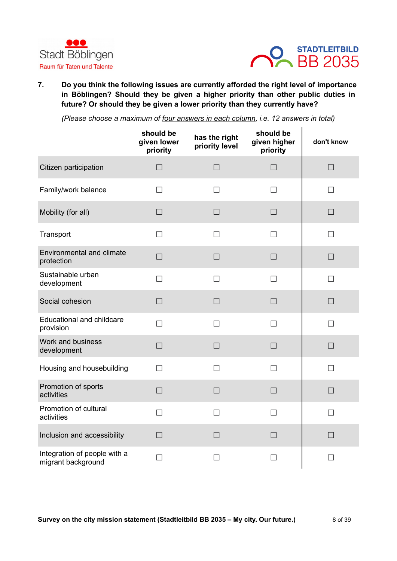



**7. Do you think the following issues are currently afforded the right level of importance in Böblingen? Should they be given a higher priority than other public duties in future? Or should they be given a lower priority than they currently have?**

*(Please choose a maximum of four answers in each column, i.e. 12 answers in total)*

|                                                    | should be<br>given lower<br>priority | has the right<br>priority level | should be<br>given higher<br>priority | don't know |
|----------------------------------------------------|--------------------------------------|---------------------------------|---------------------------------------|------------|
| Citizen participation                              | $\Box$                               | $\Box$                          | $\Box$                                | $\Box$     |
| Family/work balance                                | $\mathsf{L}$                         | П                               | П                                     | П          |
| Mobility (for all)                                 | $\Box$                               | $\Box$                          | $\Box$                                | $\Box$     |
| Transport                                          | $\Box$                               | $\Box$                          | $\Box$                                | П          |
| <b>Environmental and climate</b><br>protection     | $\Box$                               | $\Box$                          | $\Box$                                | $\Box$     |
| Sustainable urban<br>development                   | П                                    | $\Box$                          | П                                     | П          |
| Social cohesion                                    | $\Box$                               | $\Box$                          | $\Box$                                | $\Box$     |
| <b>Educational and childcare</b><br>provision      | П                                    | П                               | П                                     | П          |
| Work and business<br>development                   | $\Box$                               | $\Box$                          | $\Box$                                | $\Box$     |
| Housing and housebuilding                          | П                                    | $\Box$                          | $\Box$                                | П          |
| Promotion of sports<br>activities                  | $\Box$                               | $\Box$                          | $\Box$                                | $\Box$     |
| Promotion of cultural<br>activities                | $\Box$                               | $\Box$                          | $\Box$                                | $\Box$     |
| Inclusion and accessibility                        | $\Box$                               | $\Box$                          | $\Box$                                | П          |
| Integration of people with a<br>migrant background | $\Box$                               | $\Box$                          | $\Box$                                | $\Box$     |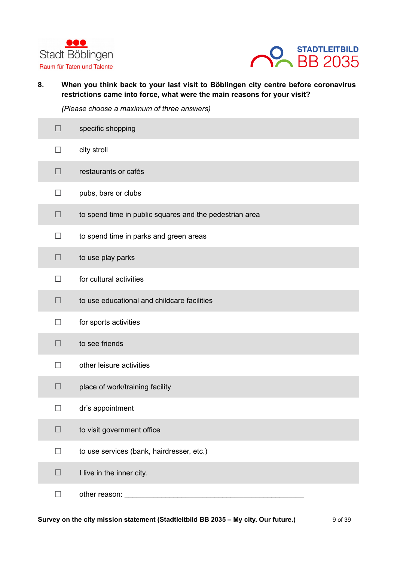



**8. When you think back to your last visit to Böblingen city centre before coronavirus restrictions came into force, what were the main reasons for your visit?**

*(Please choose a maximum of three an swers)*

| $\Box$                   | specific shopping                                       |
|--------------------------|---------------------------------------------------------|
| $\Box$                   | city stroll                                             |
| $\Box$                   | restaurants or cafés                                    |
| $\Box$                   | pubs, bars or clubs                                     |
| $\Box$                   | to spend time in public squares and the pedestrian area |
| $\Box$                   | to spend time in parks and green areas                  |
| $\Box$                   | to use play parks                                       |
| П                        | for cultural activities                                 |
| □                        | to use educational and childcare facilities             |
| П                        | for sports activities                                   |
| $\Box$                   | to see friends                                          |
| $\overline{\phantom{0}}$ | other leisure activities                                |
| $\Box$                   | place of work/training facility                         |
|                          | dr's appointment                                        |
| $\Box$                   | to visit government office                              |
| П                        | to use services (bank, hairdresser, etc.)               |
| $\Box$                   | I live in the inner city.                               |
| $\Box$                   | other reason:                                           |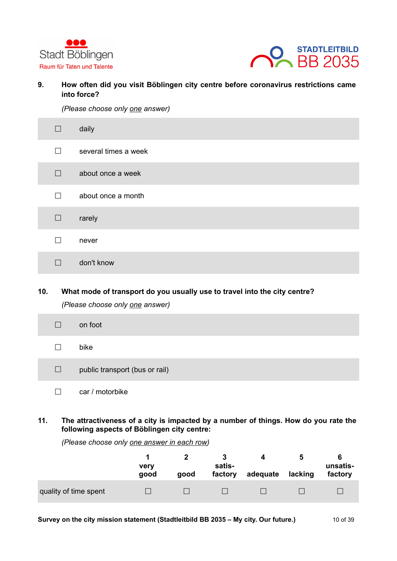



**9. How often did you visit Böblingen city centre before coronavirus restrictions came into force?**

*(Please choose only one answer)*

| $\Box$            | daily                |
|-------------------|----------------------|
| П                 | several times a week |
| $\Box$            | about once a week    |
| П                 | about once a month   |
| $\Box$            | rarely               |
| $\vert \ \ \vert$ | never                |
|                   | don't know           |

# **10. What mode of transport do you usually use to travel into the city centre?** *(Please choose only one answer)*

| $\Box$       | on foot                        |
|--------------|--------------------------------|
| $\mathsf{L}$ | bike                           |
| $\Box$       | public transport (bus or rail) |
|              | car / motorbike                |

**11. The attractiveness of a city is impacted by a number of things. How do you rate the following aspects of Böblingen city centre:**

|                       | very<br>good | good | satis-<br>factory | adequate | lacking | unsatis-<br>factory |
|-----------------------|--------------|------|-------------------|----------|---------|---------------------|
| quality of time spent |              |      |                   |          |         |                     |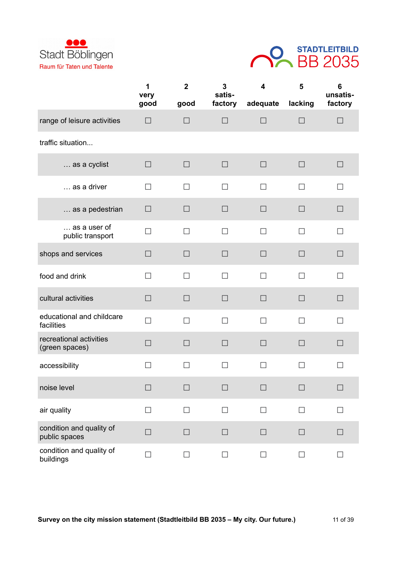



|                                           | 1<br>very | $\boldsymbol{2}$ | 3<br>satis- | $\overline{\mathbf{4}}$ | 5       | 6<br>unsatis- |
|-------------------------------------------|-----------|------------------|-------------|-------------------------|---------|---------------|
|                                           | good      | good             | factory     | adequate                | lacking | factory       |
| range of leisure activities               | $\Box$    | $\Box$           | $\Box$      | $\Box$                  | $\Box$  | $\Box$        |
| traffic situation                         |           |                  |             |                         |         |               |
| as a cyclist                              | $\Box$    | $\Box$           | $\Box$      | $\Box$                  | $\Box$  | $\Box$        |
| as a driver                               | П         | $\Box$           | $\Box$      | П                       | П       | $\mathsf{L}$  |
| as a pedestrian                           | $\Box$    | $\Box$           | $\Box$      | $\Box$                  | $\Box$  | $\Box$        |
| as a user of<br>public transport          | П         | $\Box$           | П           | П                       | $\Box$  | П             |
| shops and services                        | П         | $\Box$           | $\Box$      | $\Box$                  | $\Box$  | П             |
| food and drink                            | П         | $\Box$           | $\Box$      | П                       | $\Box$  | П             |
| cultural activities                       | $\Box$    | $\Box$           | $\Box$      | $\Box$                  | $\Box$  | $\Box$        |
| educational and childcare<br>facilities   | П         | $\Box$           | П           | П                       | П       | П             |
| recreational activities<br>(green spaces) | $\Box$    | $\Box$           | $\Box$      | $\Box$                  | $\Box$  | $\Box$        |
| accessibility                             | $\Box$    | $\Box$           | $\Box$      | П                       | $\Box$  | П             |
| noise level                               |           |                  | $\Box$      | $\Box$                  | $\Box$  |               |
| air quality                               | П         | $\Box$           | П           | П                       | П       |               |
| condition and quality of<br>public spaces | $\Box$    | $\Box$           | $\Box$      | $\Box$                  | $\Box$  | $\Box$        |
| condition and quality of<br>buildings     | $\Box$    | $\Box$           | $\Box$      | П                       | П       | $\Box$        |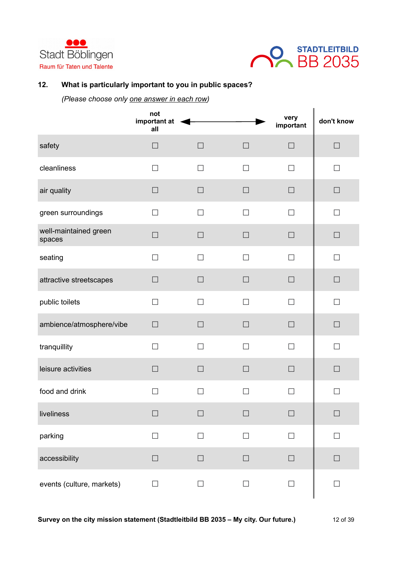



# **12. What is particularly important to you in public spaces?**

|                                 | not<br>important at<br>all |        |              | very<br>important | don't know |
|---------------------------------|----------------------------|--------|--------------|-------------------|------------|
| safety                          | $\Box$                     | $\Box$ | $\Box$       | $\Box$            | $\Box$     |
| cleanliness                     | $\Box$                     | $\Box$ | $\Box$       | П                 | $\Box$     |
| air quality                     | $\Box$                     | $\Box$ | $\Box$       | $\Box$            | $\Box$     |
| green surroundings              | П                          | $\Box$ | П            | $\Box$            | П          |
| well-maintained green<br>spaces | $\Box$                     | $\Box$ | $\Box$       | $\Box$            | $\Box$     |
| seating                         | П                          | $\Box$ | П            | П                 | П          |
| attractive streetscapes         | $\Box$                     | $\Box$ | $\Box$       | $\Box$            | $\Box$     |
| public toilets                  | $\Box$                     | $\Box$ | П            | П                 | П          |
| ambience/atmosphere/vibe        | $\Box$                     | $\Box$ | $\Box$       | $\Box$            | $\Box$     |
| tranquillity                    | $\overline{\phantom{0}}$   | П      | $\mathsf{L}$ | П                 |            |
| leisure activities              | $\Box$                     | $\Box$ | $\Box$       | □                 | $\Box$     |
| food and drink                  | $\Box$                     | $\Box$ | $\Box$       | $\Box$            | П          |
| liveliness                      | П                          | $\Box$ | П            | H                 | $\Box$     |
| parking                         | $\Box$                     | $\Box$ | $\Box$       | $\Box$            | $\Box$     |
| accessibility                   | $\Box$                     | $\Box$ | $\Box$       | $\Box$            | $\Box$     |
| events (culture, markets)       | $\Box$                     | $\Box$ | $\Box$       | $\Box$            | $\Box$     |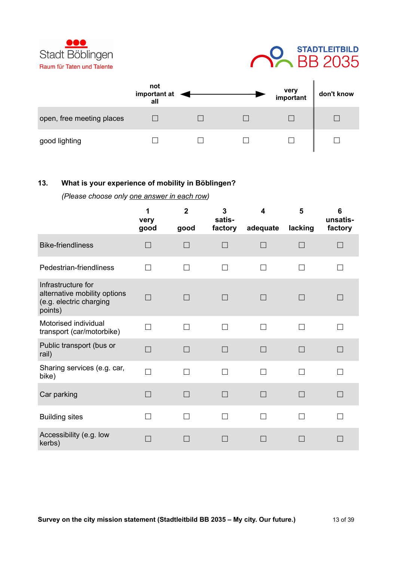



|                           | not<br>important at<br>all |  | very<br>important | don't know |
|---------------------------|----------------------------|--|-------------------|------------|
| open, free meeting places |                            |  |                   |            |
| good lighting             |                            |  |                   |            |

### **13. What is your experience of mobility in Böblingen?**

|                                                                                          | 1<br>very<br>good | $\overline{2}$<br>good | 3<br>satis-<br>factory | 4<br>adequate | 5<br>lacking | 6<br>unsatis-<br>factory |
|------------------------------------------------------------------------------------------|-------------------|------------------------|------------------------|---------------|--------------|--------------------------|
| <b>Bike-friendliness</b>                                                                 | H                 | $\Box$                 |                        | $\Box$        |              |                          |
| Pedestrian-friendliness                                                                  | П                 | П                      |                        | П             | П            |                          |
| Infrastructure for<br>alternative mobility options<br>(e.g. electric charging<br>points) | П                 | П                      | $\Box$                 | П             | $\Box$       |                          |
| Motorised individual<br>transport (car/motorbike)                                        | П                 | П                      | $\Box$                 | П             | П            | $\overline{\phantom{a}}$ |
| Public transport (bus or<br>rail)                                                        | $\Box$            | $\Box$                 | $\Box$                 | П             | П            | $\Box$                   |
| Sharing services (e.g. car,<br>bike)                                                     | $\Box$            | П                      | П                      | П             | П            | $\Box$                   |
| Car parking                                                                              | $\Box$            | $\Box$                 | П                      | П             | П            | $\Box$                   |
| <b>Building sites</b>                                                                    | П                 | $\Box$                 | П                      | П             | П            | П                        |
| Accessibility (e.g. low<br>kerbs)                                                        |                   |                        |                        | $\Box$        |              |                          |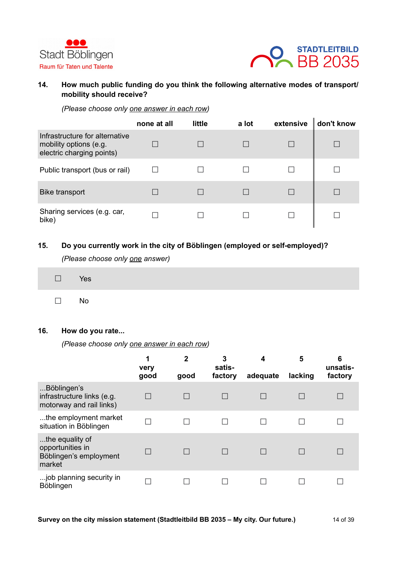



# **14. How much public funding do you think the following alternative modes of transport/ mobility should receive?**

*(Please choose only one answer in each row)*

|                                                                                       | none at all | little | a lot | extensive | don't know |
|---------------------------------------------------------------------------------------|-------------|--------|-------|-----------|------------|
| Infrastructure for alternative<br>mobility options (e.g.<br>electric charging points) |             |        |       |           |            |
| Public transport (bus or rail)                                                        |             |        |       |           |            |
| <b>Bike transport</b>                                                                 |             |        |       |           |            |
| Sharing services (e.g. car,<br>bike)                                                  |             |        |       |           |            |

### **15. Do you currently work in the city of Böblingen (employed or self-employed)?**

*(Please choose only one answer)*

| $\square$ Yes |  |
|---------------|--|
| $\square$ No  |  |

#### **16. How do you rate...**

|                                                                         | 1<br>very<br>good | $\mathbf{2}$<br>good | 3<br>satis-<br>factory | 4<br>adequate | 5<br>lacking | 6<br>unsatis-<br>factory |
|-------------------------------------------------------------------------|-------------------|----------------------|------------------------|---------------|--------------|--------------------------|
| Böblingen's<br>infrastructure links (e.g.<br>motorway and rail links)   |                   |                      |                        |               |              |                          |
| the employment market<br>situation in Böblingen                         |                   |                      |                        |               |              |                          |
| the equality of<br>opportunities in<br>Böblingen's employment<br>market |                   |                      |                        |               |              |                          |
| job planning security in<br>Böblingen                                   |                   |                      |                        |               |              |                          |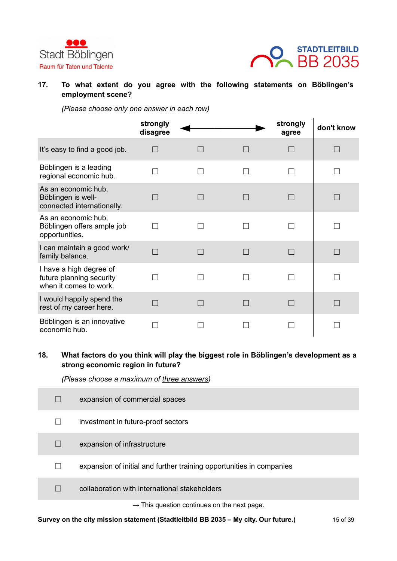



### **17. To what extent do you agree with the following statements on Böblingen's employment scene?**

*(Please choose only one answer in each row)*

|                                                                               | strongly<br>disagree |  | strongly<br>agree | don't know |
|-------------------------------------------------------------------------------|----------------------|--|-------------------|------------|
| It's easy to find a good job.                                                 |                      |  |                   |            |
| Böblingen is a leading<br>regional economic hub.                              |                      |  |                   |            |
| As an economic hub,<br>Böblingen is well-<br>connected internationally.       |                      |  |                   |            |
| As an economic hub,<br>Böblingen offers ample job<br>opportunities.           |                      |  |                   |            |
| I can maintain a good work/<br>family balance.                                |                      |  |                   |            |
| I have a high degree of<br>future planning security<br>when it comes to work. |                      |  |                   |            |
| I would happily spend the<br>rest of my career here.                          |                      |  |                   |            |
| Böblingen is an innovative<br>economic hub.                                   |                      |  |                   |            |

# **18. What factors do you think will play the biggest role in Böblingen's development as a strong economic region in future?**

*(Please choose a maximum of three answers)*

| $\vert \ \ \vert$ | expansion of commercial spaces                                       |
|-------------------|----------------------------------------------------------------------|
| $\mathsf{L}$      | investment in future-proof sectors                                   |
| $\Box$            | expansion of infrastructure                                          |
| H                 | expansion of initial and further training opportunities in companies |
|                   | collaboration with international stakeholders                        |
|                   | $\rightarrow$ This question continues on the next page.              |

**Survey on the city mission statement (Stadtleitbild BB 2035 – My city. Our future.)** 15 of 39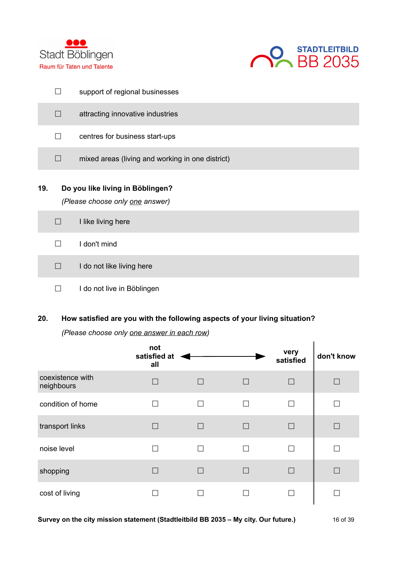



|     | $\overline{\phantom{0}}$                                            | support of regional businesses                   |  |  |  |
|-----|---------------------------------------------------------------------|--------------------------------------------------|--|--|--|
|     | $\Box$                                                              | attracting innovative industries                 |  |  |  |
|     | $\Box$                                                              | centres for business start-ups                   |  |  |  |
|     | П                                                                   | mixed areas (living and working in one district) |  |  |  |
| 19. | Do you like living in Böblingen?<br>(Please choose only one answer) |                                                  |  |  |  |
|     | $\Box$                                                              | I like living here                               |  |  |  |
|     | ┓                                                                   | I don't mind                                     |  |  |  |
|     | П                                                                   | I do not like living here                        |  |  |  |
|     |                                                                     | I do not live in Böblingen                       |  |  |  |

# **20. How satisfied are you with the following aspects of your living situation?**

|                                | not<br>satisfied at<br>all |                |              | very<br>satisfied | don't know |
|--------------------------------|----------------------------|----------------|--------------|-------------------|------------|
| coexistence with<br>neighbours | $\vert$ $\vert$            | $\Box$         | $\mathsf{L}$ | $\Box$            |            |
| condition of home              | $\overline{\phantom{0}}$   | $\blacksquare$ |              |                   |            |
| transport links                | $\Box$                     |                |              | П                 |            |
| noise level                    |                            | П              |              |                   |            |
| shopping                       |                            |                |              |                   |            |
| cost of living                 |                            |                |              |                   |            |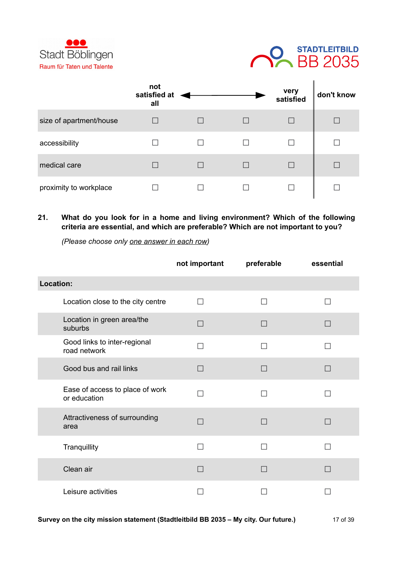



|                         | not<br>satisfied at<br>all |  | very<br>satisfied | don't know |
|-------------------------|----------------------------|--|-------------------|------------|
| size of apartment/house |                            |  |                   |            |
| accessibility           |                            |  |                   |            |
| medical care            |                            |  |                   |            |
| proximity to workplace  |                            |  |                   |            |

# **21. What do you look for in a home and living environment? Which of the following criteria are essential, and which are preferable? Which are not important to you?**

|                                                 | not important | preferable     | essential |
|-------------------------------------------------|---------------|----------------|-----------|
| Location:                                       |               |                |           |
| Location close to the city centre               | П             | П              |           |
| Location in green area/the<br>suburbs           | $\Box$        | $\Box$         | $\Box$    |
| Good links to inter-regional<br>road network    | $\mathcal{A}$ | $\blacksquare$ |           |
| Good bus and rail links                         | ٠             | $\Box$         | ×.        |
| Ease of access to place of work<br>or education | $\mathcal{A}$ |                |           |
| Attractiveness of surrounding<br>area           |               | П              |           |
| Tranquillity                                    |               |                |           |
| Clean air                                       |               | П              |           |
| Leisure activities                              |               |                |           |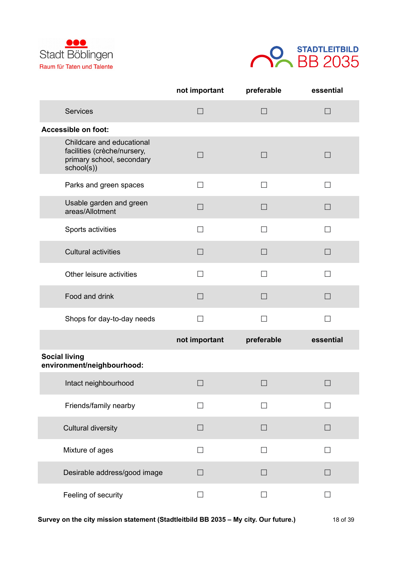



|                                                                                                     | not important | preferable        | essential |
|-----------------------------------------------------------------------------------------------------|---------------|-------------------|-----------|
| <b>Services</b>                                                                                     | $\Box$        | $\Box$            | П         |
| Accessible on foot:                                                                                 |               |                   |           |
| Childcare and educational<br>facilities (crèche/nursery,<br>primary school, secondary<br>school(s)) | □             | П                 | $\Box$    |
| Parks and green spaces                                                                              | П             | $\Box$            | П         |
| Usable garden and green<br>areas/Allotment                                                          | $\Box$        | $\Box$            | П         |
| Sports activities                                                                                   | $\Box$        | $\Box$            | П         |
| <b>Cultural activities</b>                                                                          | $\Box$        | $\Box$            | $\Box$    |
| Other leisure activities                                                                            | П             | П                 | П         |
| Food and drink                                                                                      | $\Box$        | $\Box$            | $\Box$    |
| Shops for day-to-day needs                                                                          | П             | П                 | П         |
|                                                                                                     | not important | preferable        | essential |
| <b>Social living</b><br>environment/neighbourhood:                                                  |               |                   |           |
| Intact neighbourhood                                                                                | $\Box$        | $\Box$            | $\Box$    |
| Friends/family nearby                                                                               | $\mathsf{L}$  | П                 |           |
| <b>Cultural diversity</b>                                                                           | $\Box$        | П                 | $\Box$    |
| Mixture of ages                                                                                     | $\Box$        | П                 | П         |
| Desirable address/good image                                                                        | $\Box$        | $\vert \ \ \vert$ |           |
| Feeling of security                                                                                 | $\Box$        | П                 |           |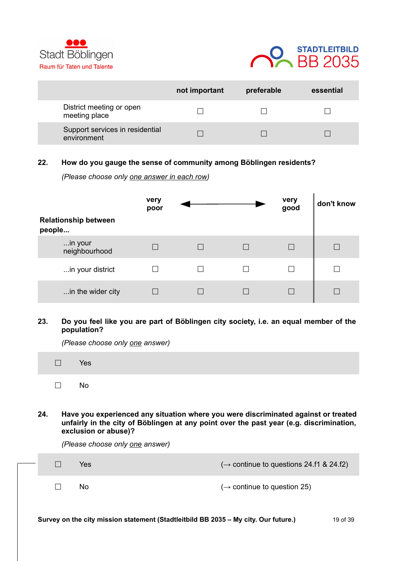



|                                                | not important | preferable | essential |
|------------------------------------------------|---------------|------------|-----------|
| District meeting or open<br>meeting place      |               |            |           |
| Support services in residential<br>environment |               |            |           |

### **22. How do you gauge the sense of community among Böblingen residents?**

*(Please choose only one answer in each row)*

|                                       | very<br>poor |  | very<br>good | don't know |
|---------------------------------------|--------------|--|--------------|------------|
| <b>Relationship between</b><br>people |              |  |              |            |
| in your<br>neighbourhood              |              |  |              |            |
| in your district                      |              |  |              |            |
| in the wider city                     |              |  |              |            |

#### **23. Do you feel like you are part of Böblingen city society, i.e. an equal member of the population?**

*(Please choose only one answer)*

| $\square$ Yes |  |
|---------------|--|
| .             |  |

**24. Have you experienced any situation where you were discriminated against or treated unfairly in the city of Böblingen at any point over the past year (e.g. discrimination, exclusion or abuse)?** 

*(Please choose only one answer)*

|  | Yes<br>No. | $(\rightarrow$ continue to questions 24.f1 & 24.f2)<br>$(\rightarrow$ continue to question 25) |          |
|--|------------|------------------------------------------------------------------------------------------------|----------|
|  |            | Survey on the city mission statement (Stadtleitbild BB 2035 - My city. Our future.)            | 19 of 39 |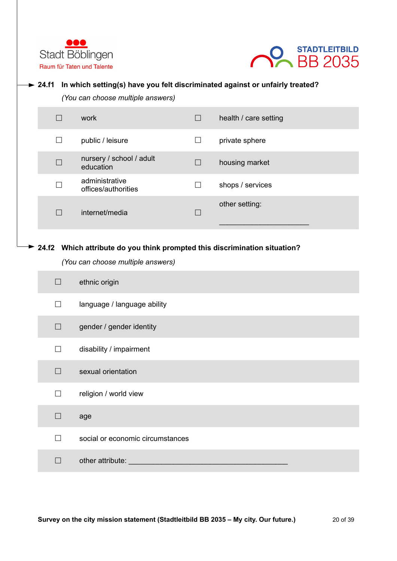



### **24.f1 In which setting(s) have you felt discriminated against or unfairly treated?**

*(You can choose multiple answers)*

|                 | work                                  |                   | health / care setting |
|-----------------|---------------------------------------|-------------------|-----------------------|
| $\mathsf{L}$    | public / leisure                      | $\vert \ \ \vert$ | private sphere        |
| $\vert \ \vert$ | nursery / school / adult<br>education |                   | housing market        |
| П               | administrative<br>offices/authorities |                   | shops / services      |
|                 | internet/media                        |                   | other setting:        |

### **24.f2 Which attribute do you think prompted this discrimination situation?**

*(You can choose multiple answers)*

| $\mathsf{L}$             | ethnic origin                    |
|--------------------------|----------------------------------|
| $\Box$                   | language / language ability      |
| П                        | gender / gender identity         |
| $\Box$                   | disability / impairment          |
| П                        | sexual orientation               |
| □                        | religion / world view            |
| П                        | age                              |
| $\overline{\phantom{a}}$ | social or economic circumstances |
| $\Box$                   | other attribute:                 |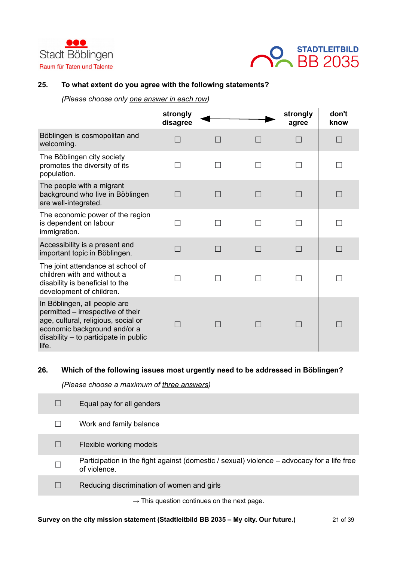



### **25. To what extent do you agree with the following statements?**

*(Please choose only one answer in each row)*

|                                                                                                                                                                                              | strongly<br>disagree |        | strongly<br>agree | don't<br>know |
|----------------------------------------------------------------------------------------------------------------------------------------------------------------------------------------------|----------------------|--------|-------------------|---------------|
| Böblingen is cosmopolitan and<br>welcoming.                                                                                                                                                  |                      | $\Box$ | П                 | $\Box$        |
| The Böblingen city society<br>promotes the diversity of its<br>population.                                                                                                                   |                      | □      | П                 | □             |
| The people with a migrant<br>background who live in Böblingen<br>are well-integrated.                                                                                                        | a s                  |        | П                 |               |
| The economic power of the region<br>is dependent on labour<br>immigration.                                                                                                                   | П                    | П      | П                 | П             |
| Accessibility is a present and<br>important topic in Böblingen.                                                                                                                              |                      |        | П                 |               |
| The joint attendance at school of<br>children with and without a<br>disability is beneficial to the<br>development of children.                                                              |                      |        |                   | □             |
| In Böblingen, all people are<br>permitted - irrespective of their<br>age, cultural, religious, social or<br>economic background and/or a<br>$disability - to participate in public$<br>life. |                      |        | $\Box$            | $\Box$        |

### **26. Which of the following issues most urgently need to be addressed in Böblingen?**

*(Please choose a maximum of three answers)*

|   | Equal pay for all genders                                                                                  |
|---|------------------------------------------------------------------------------------------------------------|
|   | Work and family balance                                                                                    |
|   | Flexible working models                                                                                    |
| П | Participation in the fight against (domestic / sexual) violence – advocacy for a life free<br>of violence. |
|   | Reducing discrimination of women and girls                                                                 |
|   | $\rightarrow$ This question continues on the next page.                                                    |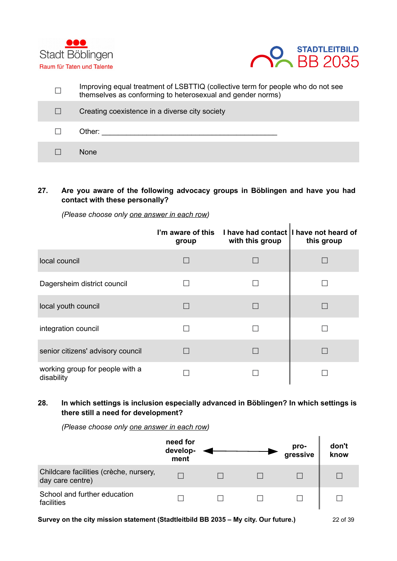



| Improving equal treatment of LSBTTIQ (collective term for people who do not see<br>themselves as conforming to heterosexual and gender norms) |
|-----------------------------------------------------------------------------------------------------------------------------------------------|
| Creating coexistence in a diverse city society                                                                                                |
| Other:                                                                                                                                        |
| <b>None</b>                                                                                                                                   |

# **27. Are you aware of the following advocacy groups in Böblingen and have you had contact with these personally?**

**I'm aware of this group I have had contact I have not heard of with this group this group** local council **☐ ☐ ☐** Dagersheim district council **☐ ☐ ☐** local youth council **☐ ☐ ☐** integration council **☐ ☐ ☐** senior citizens' advisory council **□** □ □ □ □ □ □ working group for people with a disability **☐ ☐ ☐**

### *(Please choose only one answer in each row)*

### **28. In which settings is inclusion especially advanced in Böblingen? In which settings is there still a need for development?**

*(Please choose only one answer in each row)*

|                                                            | need for<br>develop-<br>ment |  | pro-<br>gressive | don't<br>know |
|------------------------------------------------------------|------------------------------|--|------------------|---------------|
| Childcare facilities (crèche, nursery,<br>day care centre) |                              |  |                  |               |
| School and further education<br>facilities                 |                              |  |                  |               |

**Survey on the city mission statement (Stadtleitbild BB 2035 – My city. Our future.)** 22 of 39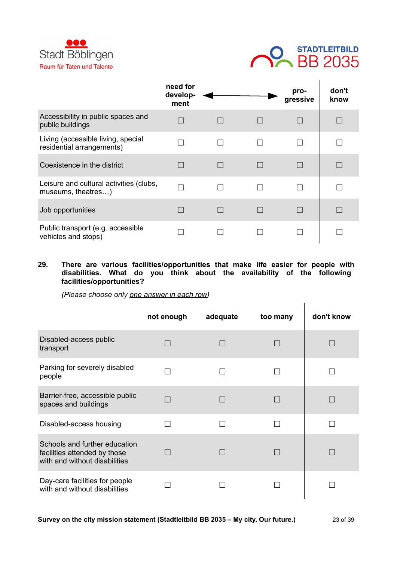



|                                                                 | need for<br>develop-<br>ment |                   | pro-<br>gressive | don't<br>know |
|-----------------------------------------------------------------|------------------------------|-------------------|------------------|---------------|
| Accessibility in public spaces and<br>public buildings          |                              |                   | П                |               |
| Living (accessible living, special<br>residential arrangements) |                              | $\mathsf{L}$      | П                |               |
| Coexistence in the district                                     |                              | $\vert \ \ \vert$ | П                | L             |
| Leisure and cultural activities (clubs,<br>museums, theatres)   |                              | $\mathsf{L}$      | П                |               |
| Job opportunities                                               |                              | $\vert \ \ \vert$ |                  |               |
| Public transport (e.g. accessible<br>vehicles and stops)        |                              |                   |                  |               |

**29. There are various facilities/opportunities that make life easier for people with disabilities. What do you think about the availability of the following facilities/opportunities?**

|                                                                                                | not enough | adequate | too many | don't know |
|------------------------------------------------------------------------------------------------|------------|----------|----------|------------|
| Disabled-access public<br>transport                                                            |            |          |          |            |
| Parking for severely disabled<br>people                                                        |            |          |          |            |
| Barrier-free, accessible public<br>spaces and buildings                                        |            |          |          |            |
| Disabled-access housing                                                                        |            |          |          |            |
| Schools and further education<br>facilities attended by those<br>with and without disabilities |            |          |          |            |
| Day-care facilities for people<br>with and without disabilities                                |            |          |          |            |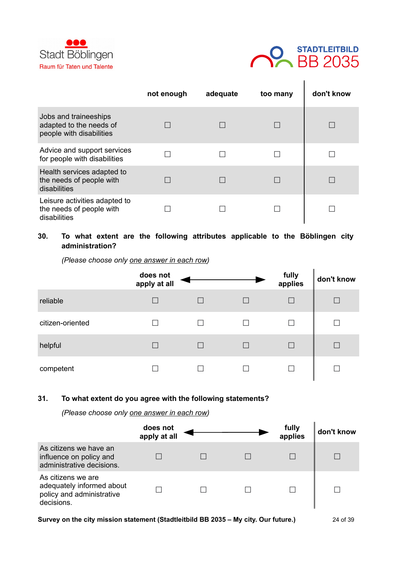



|                                                                              | not enough | adequate | too many | don't know |
|------------------------------------------------------------------------------|------------|----------|----------|------------|
| Jobs and traineeships<br>adapted to the needs of<br>people with disabilities |            |          |          |            |
| Advice and support services<br>for people with disabilities                  |            |          |          |            |
| Health services adapted to<br>the needs of people with<br>disabilities       |            |          |          |            |
| Leisure activities adapted to<br>the needs of people with<br>disabilities    |            |          |          |            |

# **30. To what extent are the following attributes applicable to the Böblingen city administration?**

*(Please choose only one answer in each row)*

|                  | does not<br>apply at all |                   | fully<br>applies | don't know |
|------------------|--------------------------|-------------------|------------------|------------|
| reliable         |                          | $\vert \ \ \vert$ |                  |            |
| citizen-oriented |                          |                   |                  |            |
| helpful          |                          | $\vert \ \ \vert$ |                  |            |
| competent        |                          |                   |                  |            |

#### **31. To what extent do you agree with the following statements?**

*(Please choose only one answer in each row)*

|                                                                                            | does not<br>apply at all |  | fully<br>applies | don't know |
|--------------------------------------------------------------------------------------------|--------------------------|--|------------------|------------|
| As citizens we have an<br>influence on policy and<br>administrative decisions.             |                          |  |                  |            |
| As citizens we are<br>adequately informed about<br>policy and administrative<br>decisions. |                          |  |                  |            |

**Survey on the city mission statement (Stadtleitbild BB 2035 – My city. Our future.)** 24 of 39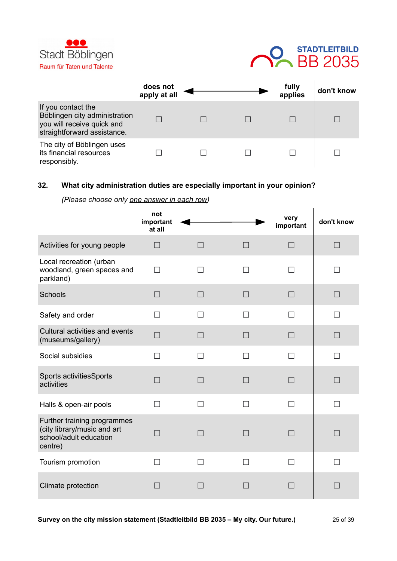



|                                                                                                                  | does not<br>apply at all |  | fully<br>applies | don't know |
|------------------------------------------------------------------------------------------------------------------|--------------------------|--|------------------|------------|
| If you contact the<br>Böblingen city administration<br>you will receive quick and<br>straightforward assistance. |                          |  |                  |            |
| The city of Böblingen uses<br>its financial resources<br>responsibly.                                            |                          |  |                  |            |

# **32. What city administration duties are especially important in your opinion?**

|                                                                                                 | not<br>important<br>at all |        |        | very<br>important        | don't know   |
|-------------------------------------------------------------------------------------------------|----------------------------|--------|--------|--------------------------|--------------|
| Activities for young people                                                                     | $\Box$                     | $\Box$ | $\Box$ | $\Box$                   | $\Box$       |
| Local recreation (urban<br>woodland, green spaces and<br>parkland)                              | $\Box$                     | П      | П      | П                        | $\mathsf{L}$ |
| Schools                                                                                         | $\Box$                     | $\Box$ | П      | П                        | П            |
| Safety and order                                                                                | П                          | П      | П      | П                        | $\mathsf{L}$ |
| Cultural activities and events<br>(museums/gallery)                                             | $\Box$                     | $\Box$ | П      | $\Box$                   | $\Box$       |
| Social subsidies                                                                                | П                          | П      | П      | П                        | П            |
| Sports activitiesSports<br>activities                                                           | П                          | П      |        |                          | П            |
| Halls & open-air pools                                                                          | $\Box$                     | $\Box$ | П      | П                        | П            |
| Further training programmes<br>(city library/music and art<br>school/adult education<br>centre) | П                          | П      | $\Box$ | $\Box$                   | П            |
| Tourism promotion                                                                               | П                          | П      | П      | П                        | П            |
| Climate protection                                                                              | a.                         |        |        | $\overline{\phantom{0}}$ | П            |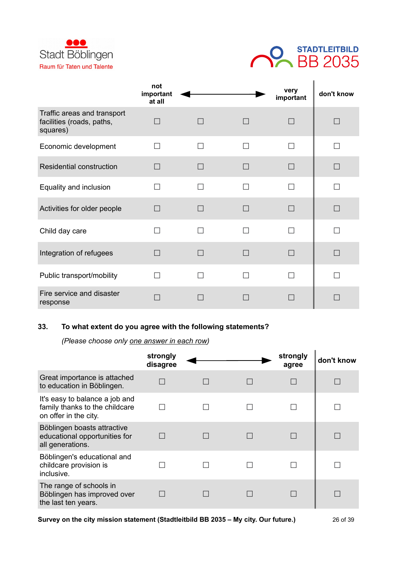



|                                                                      | not<br>important<br>at all |        | very<br>important | don't know |
|----------------------------------------------------------------------|----------------------------|--------|-------------------|------------|
| Traffic areas and transport<br>facilities (roads, paths,<br>squares) |                            |        | $\Box$            |            |
| Economic development                                                 | $\Box$                     | ۰      | П                 | - 1        |
| <b>Residential construction</b>                                      |                            |        |                   | П          |
| Equality and inclusion                                               |                            |        |                   |            |
| Activities for older people                                          |                            |        |                   |            |
| Child day care                                                       |                            | ۰      | П                 |            |
| Integration of refugees                                              |                            | $\Box$ | $\Box$            | П          |
| Public transport/mobility                                            |                            |        |                   |            |
| Fire service and disaster<br>response                                |                            |        |                   |            |

# **33. To what extent do you agree with the following statements?**

|                                                                                           | strongly<br>disagree |  | strongly<br>agree | don't know |
|-------------------------------------------------------------------------------------------|----------------------|--|-------------------|------------|
| Great importance is attached<br>to education in Böblingen.                                |                      |  |                   |            |
| It's easy to balance a job and<br>family thanks to the childcare<br>on offer in the city. |                      |  |                   |            |
| Böblingen boasts attractive<br>educational opportunities for<br>all generations.          |                      |  |                   |            |
| Böblingen's educational and<br>childcare provision is<br>inclusive.                       |                      |  |                   |            |
| The range of schools in<br>Böblingen has improved over<br>the last ten years.             |                      |  |                   |            |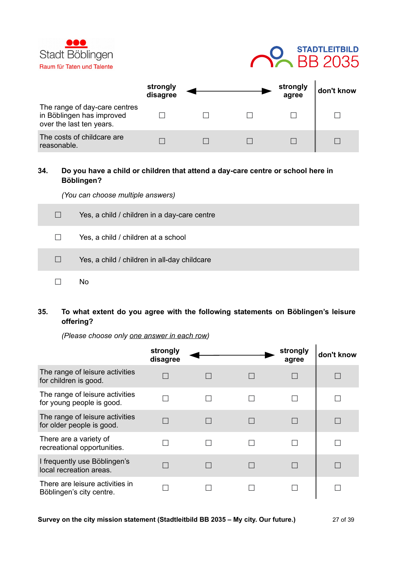



|                                                                                        | strongly<br>disagree |  | strongly<br>agree | don't know |
|----------------------------------------------------------------------------------------|----------------------|--|-------------------|------------|
| The range of day-care centres<br>in Böblingen has improved<br>over the last ten years. |                      |  |                   |            |
| The costs of childcare are<br>reasonable.                                              |                      |  |                   |            |

## **34. Do you have a child or children that attend a day-care centre or school here in Böblingen?**

*(You can choose multiple answers)*

| $\Box$            | Yes, a child / children in a day-care centre |
|-------------------|----------------------------------------------|
| $\perp$           | Yes, a child / children at a school          |
| $\vert \ \ \vert$ | Yes, a child / children in all-day childcare |
|                   | No                                           |

**35. To what extent do you agree with the following statements on Böblingen's leisure offering?**

|                                                              | strongly<br>disagree |  | strongly<br>agree | don't know |
|--------------------------------------------------------------|----------------------|--|-------------------|------------|
| The range of leisure activities<br>for children is good.     |                      |  |                   |            |
| The range of leisure activities<br>for young people is good. |                      |  |                   |            |
| The range of leisure activities<br>for older people is good. |                      |  |                   |            |
| There are a variety of<br>recreational opportunities.        |                      |  |                   |            |
| I frequently use Böblingen's<br>local recreation areas.      |                      |  |                   |            |
| There are leisure activities in<br>Böblingen's city centre.  |                      |  |                   |            |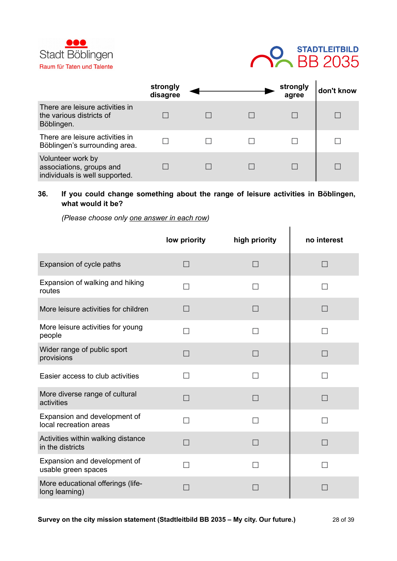



|                                                                                 | strongly<br>disagree |  | strongly<br>agree | don't know |
|---------------------------------------------------------------------------------|----------------------|--|-------------------|------------|
| There are leisure activities in<br>the various districts of<br>Böblingen.       |                      |  |                   |            |
| There are leisure activities in<br>Böblingen's surrounding area.                |                      |  |                   |            |
| Volunteer work by<br>associations, groups and<br>individuals is well supported. |                      |  |                   |            |

# **36. If you could change something about the range of leisure activities in Böblingen, what would it be?**

|                                                        | low priority | high priority | no interest |
|--------------------------------------------------------|--------------|---------------|-------------|
| Expansion of cycle paths                               | П            | П             | П           |
| Expansion of walking and hiking<br>routes              | $\Box$       |               |             |
| More leisure activities for children                   | $\Box$       | $\Box$        |             |
| More leisure activities for young<br>people            | $\Box$       |               |             |
| Wider range of public sport<br>provisions              | П            | П             | П           |
| Easier access to club activities                       | П            | П             |             |
| More diverse range of cultural<br>activities           | П            | $\Box$        | П           |
| Expansion and development of<br>local recreation areas |              |               |             |
| Activities within walking distance<br>in the districts | n l          | $\Box$        |             |
| Expansion and development of<br>usable green spaces    | П            | $\Box$        |             |
| More educational offerings (life-<br>long learning)    |              |               |             |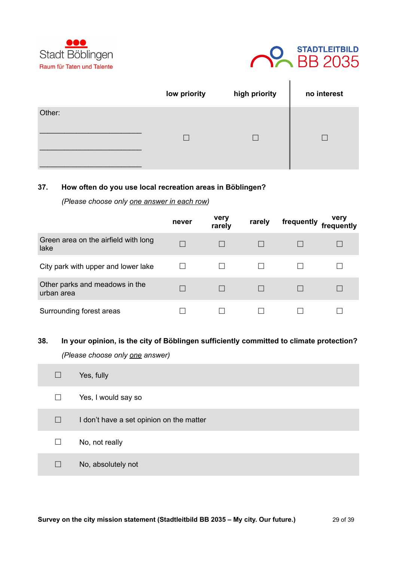



|        | low priority | high priority | no interest |
|--------|--------------|---------------|-------------|
| Other: |              |               |             |
|        | $\Box$       |               |             |
|        |              |               |             |

### **37. How often do you use local recreation areas in Böblingen?**

*(Please choose only one answer in each row)*

|                                              | never | very<br>rarely | rarely | frequently | very<br>frequently |
|----------------------------------------------|-------|----------------|--------|------------|--------------------|
| Green area on the airfield with long<br>lake |       |                |        |            |                    |
| City park with upper and lower lake          |       |                |        |            |                    |
| Other parks and meadows in the<br>urban area |       |                |        |            |                    |
| Surrounding forest areas                     |       |                |        |            |                    |

### **38. In your opinion, is the city of Böblingen sufficiently committed to climate protection?**

*(Please choose only one answer)*

**College** 

| $\vert \ \vert$ | Yes, fully                               |
|-----------------|------------------------------------------|
| $\Box$          | Yes, I would say so                      |
| $\Box$          | I don't have a set opinion on the matter |
| П               | No, not really                           |
| $\Box$          | No, absolutely not                       |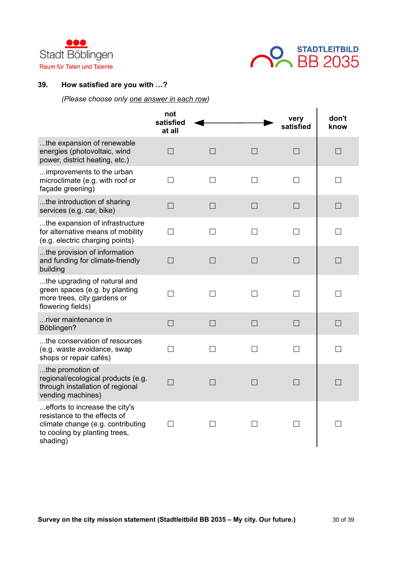



### **39. How satisfied are you with …?**

|                                                                                                                                                  | not<br>satisfied<br>at all |        |        | very<br>satisfied | don't<br>know |
|--------------------------------------------------------------------------------------------------------------------------------------------------|----------------------------|--------|--------|-------------------|---------------|
| the expansion of renewable<br>energies (photovoltaic, wind<br>power, district heating, etc.)                                                     | $\Box$                     | $\Box$ | $\Box$ | $\Box$            | $\Box$        |
| improvements to the urban<br>microclimate (e.g. with roof or<br>façade greening)                                                                 | $\Box$                     | $\Box$ | $\Box$ | $\Box$            | $\Box$        |
| the introduction of sharing<br>services (e.g. car, bike)                                                                                         | $\Box$                     | $\Box$ | П      | $\Box$            | $\Box$        |
| the expansion of infrastructure<br>for alternative means of mobility<br>(e.g. electric charging points)                                          | П                          | П      | П      | П                 | П             |
| the provision of information<br>and funding for climate-friendly<br>building                                                                     | $\Box$                     | $\Box$ | $\Box$ | $\Box$            | $\Box$        |
| the upgrading of natural and<br>green spaces (e.g. by planting<br>more trees, city gardens or<br>flowering fields)                               | П                          | $\Box$ | П      | $\Box$            | П             |
| river maintenance in<br>Böblingen?                                                                                                               | $\Box$                     | $\Box$ | $\Box$ | $\Box$            | $\Box$        |
| the conservation of resources<br>(e.g. waste avoidance, swap<br>shops or repair cafés)                                                           | П                          | П      | $\Box$ | П                 | П             |
| the promotion of<br>regional/ecological products (e.g.<br>through installation of regional<br>vending machines)                                  | $\Box$                     | $\Box$ | П      | $\Box$            | $\Box$        |
| efforts to increase the city's<br>resistance to the effects of<br>climate change (e.g. contributing<br>to cooling by planting trees,<br>shading) | П                          | П      | П      | $\Box$            | П             |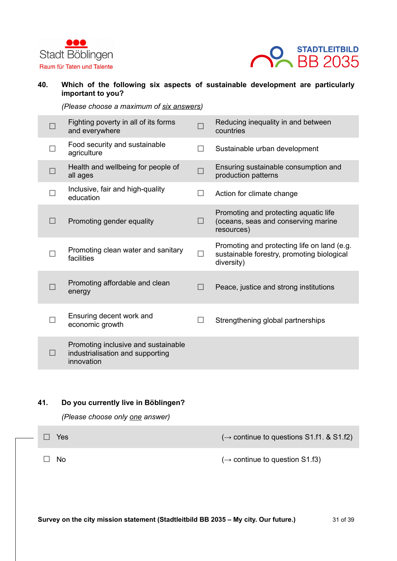



# **40. Which of the following six aspects of sustainable development are particularly important to you?**

*(Please choose a maximum of six answers)*

|        | Fighting poverty in all of its forms<br>and everywhere                                | $\Box$ | Reducing inequality in and between<br>countries                                                         |
|--------|---------------------------------------------------------------------------------------|--------|---------------------------------------------------------------------------------------------------------|
|        | Food security and sustainable<br>agriculture                                          | $\Box$ | Sustainable urban development                                                                           |
|        | Health and wellbeing for people of<br>all ages                                        | $\Box$ | Ensuring sustainable consumption and<br>production patterns                                             |
|        | Inclusive, fair and high-quality<br>education                                         | П      | Action for climate change                                                                               |
| $\Box$ | Promoting gender equality                                                             | $\Box$ | Promoting and protecting aquatic life<br>(oceans, seas and conserving marine<br>resources)              |
|        | Promoting clean water and sanitary<br>facilities                                      | $\Box$ | Promoting and protecting life on land (e.g.<br>sustainable forestry, promoting biological<br>diversity) |
|        | Promoting affordable and clean<br>energy                                              | $\Box$ | Peace, justice and strong institutions                                                                  |
|        | Ensuring decent work and<br>economic growth                                           | $\Box$ | Strengthening global partnerships                                                                       |
|        | Promoting inclusive and sustainable<br>industrialisation and supporting<br>innovation |        |                                                                                                         |

### **41. Do you currently live in Böblingen?**

*(Please choose only one answer)*

×

| $\overline{\phantom{a}}$ | Yes  | $(\rightarrow$ continue to questions S1.f1. & S1.f2) |
|--------------------------|------|------------------------------------------------------|
|                          | □ No | $(\rightarrow$ continue to question S1.f3)           |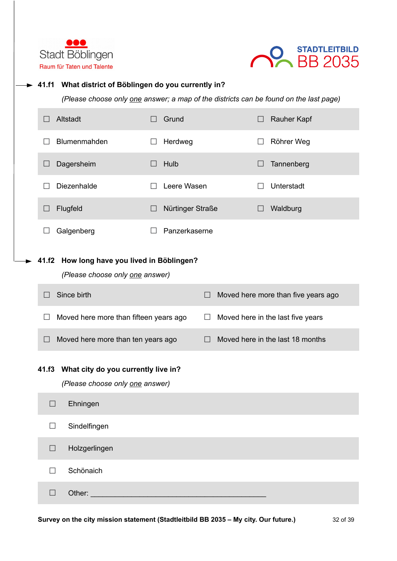



| 41.f1   | What district of Böblingen do you currently in?                                       |                  |         |                                     |
|---------|---------------------------------------------------------------------------------------|------------------|---------|-------------------------------------|
|         | (Please choose only one answer; a map of the districts can be found on the last page) |                  |         |                                     |
| $\Box$  | Altstadt                                                                              | Grund            |         | Rauher Kapf                         |
|         | Blumenmahden                                                                          | Herdweg          |         | Röhrer Weg                          |
| $\Box$  | Dagersheim                                                                            | Hulb             |         | Tannenberg                          |
| $\perp$ | Diezenhalde                                                                           | Leere Wasen      | $\perp$ | Unterstadt                          |
| $\Box$  | Flugfeld                                                                              | Nürtinger Straße |         | Waldburg                            |
|         | Galgenberg                                                                            | Panzerkaserne    |         |                                     |
| 41.f2   | How long have you lived in Böblingen?<br>(Please choose only one answer)              |                  |         |                                     |
| $\Box$  | Since birth                                                                           | $\Box$           |         | Moved here more than five years ago |
| $\Box$  | Moved here more than fifteen years ago                                                | $\Box$           |         | Moved here in the last five years   |
| $\Box$  | Moved here more than ten years ago                                                    | □                |         | Moved here in the last 18 months    |
|         | 41.f3 What city do you currently live in?<br>(Please choose only one answer)          |                  |         |                                     |
| $\Box$  | Ehningen                                                                              |                  |         |                                     |
| $\Box$  | Sindelfingen                                                                          |                  |         |                                     |
| $\Box$  | Holzgerlingen                                                                         |                  |         |                                     |
| $\Box$  | Schönaich                                                                             |                  |         |                                     |
| $\Box$  | Other:                                                                                |                  |         |                                     |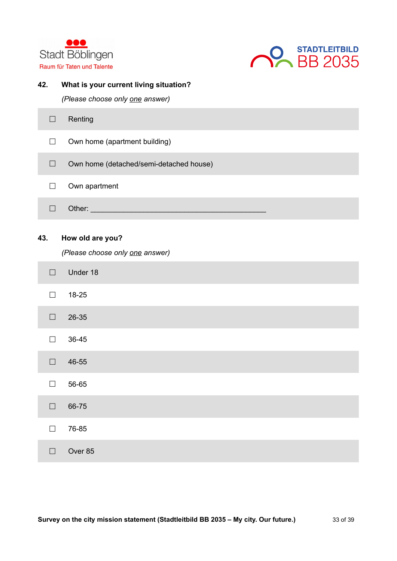



### **42. What is your current living situation?**

*(Please choose only one answer)*

| Renting                                 |
|-----------------------------------------|
| Own home (apartment building)           |
| Own home (detached/semi-detached house) |
| Own apartment                           |
| Other:                                  |

# **43. How old are you?**

*(Please choose only one answer)*

| $\Box$ | Under 18 |
|--------|----------|
| $\Box$ | 18-25    |
| $\Box$ | 26-35    |
| $\Box$ | 36-45    |
| $\Box$ | 46-55    |
| $\Box$ | 56-65    |
| $\Box$ | 66-75    |
| $\Box$ | 76-85    |
| П      | Over 85  |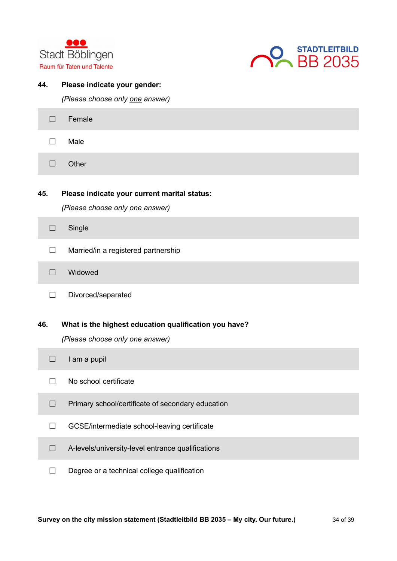



# **44. Please indicate your gender:**

*(Please choose only one answer)*

| $\Box$ | Female                                                                          |
|--------|---------------------------------------------------------------------------------|
| $\Box$ | Male                                                                            |
| $\Box$ | Other                                                                           |
| 45.    | Please indicate your current marital status:<br>(Please choose only one answer) |
| $\Box$ | Single                                                                          |
| П      | Married/in a registered partnership                                             |
| $\Box$ | Widowed                                                                         |
| $\Box$ | Divorced/separated                                                              |
|        |                                                                                 |
| 46.    | What is the highest education qualification you have?                           |
|        | (Please choose only one answer)                                                 |
| $\Box$ | I am a pupil                                                                    |
| $\Box$ | No school certificate                                                           |
| $\Box$ | Primary school/certificate of secondary education                               |
| $\Box$ | GCSE/intermediate school-leaving certificate                                    |
| $\Box$ | A-levels/university-level entrance qualifications                               |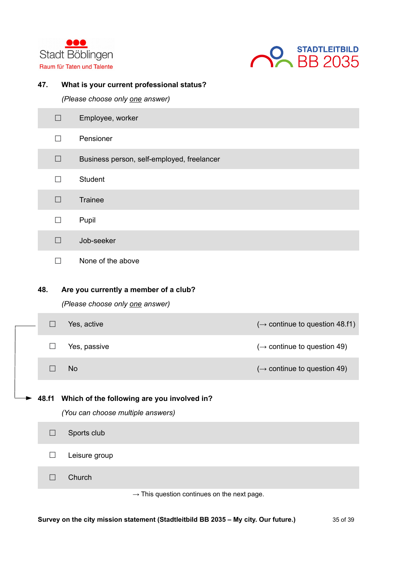



# **47. What is your current professional status?**

*(Please choose only one answer)*

|        | $\Box$       | Employee, worker                                                                       |                                            |
|--------|--------------|----------------------------------------------------------------------------------------|--------------------------------------------|
|        | $\mathsf{L}$ | Pensioner                                                                              |                                            |
|        | $\Box$       | Business person, self-employed, freelancer                                             |                                            |
|        | $\Box$       | <b>Student</b>                                                                         |                                            |
|        | $\Box$       | <b>Trainee</b>                                                                         |                                            |
|        | $\Box$       | Pupil                                                                                  |                                            |
|        | □            | Job-seeker                                                                             |                                            |
|        | $\Box$       | None of the above                                                                      |                                            |
| 48.    |              | Are you currently a member of a club?<br>(Please choose only one answer)               |                                            |
| $\Box$ |              | Yes, active                                                                            | $(\rightarrow$ continue to question 48.f1) |
| П      |              | Yes, passive                                                                           | $(\rightarrow$ continue to question 49)    |
| $\Box$ | <b>No</b>    |                                                                                        | $(\rightarrow$ continue to question 49)    |
|        |              | 48.f1 Which of the following are you involved in?<br>(You can choose multiple answers) |                                            |
| $\Box$ |              | Sports club                                                                            |                                            |
| $\Box$ |              | Leisure group                                                                          |                                            |
| $\Box$ |              | Church                                                                                 |                                            |

 $\rightarrow$  This question continues on the next page.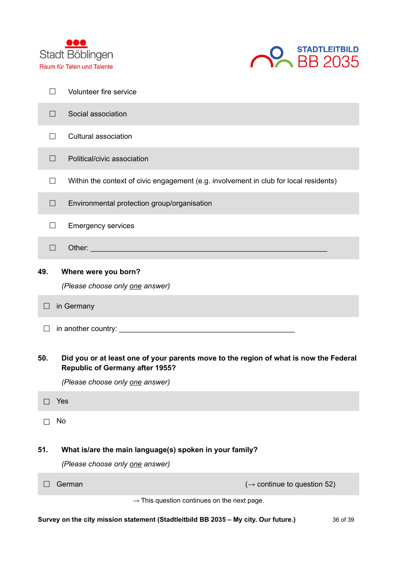



|                      | $\overline{\phantom{0}}$ | Volunteer fire service                                                                                                                                             |  |  |  |
|----------------------|--------------------------|--------------------------------------------------------------------------------------------------------------------------------------------------------------------|--|--|--|
|                      | $\Box$                   | Social association                                                                                                                                                 |  |  |  |
|                      | $\Box$                   | Cultural association                                                                                                                                               |  |  |  |
|                      | $\Box$                   | Political/civic association                                                                                                                                        |  |  |  |
|                      | $\Box$                   | Within the context of civic engagement (e.g. involvement in club for local residents)                                                                              |  |  |  |
|                      | $\Box$                   | Environmental protection group/organisation                                                                                                                        |  |  |  |
|                      | П                        | <b>Emergency services</b>                                                                                                                                          |  |  |  |
|                      | $\Box$                   |                                                                                                                                                                    |  |  |  |
| 49.                  |                          | Where were you born?<br>(Please choose only one answer)                                                                                                            |  |  |  |
| in Germany<br>$\Box$ |                          |                                                                                                                                                                    |  |  |  |
|                      |                          |                                                                                                                                                                    |  |  |  |
| 50.                  |                          | Did you or at least one of your parents move to the region of what is now the Federal<br><b>Republic of Germany after 1955?</b><br>(Please choose only one answer) |  |  |  |
|                      | Yes                      |                                                                                                                                                                    |  |  |  |
|                      | No                       |                                                                                                                                                                    |  |  |  |
| 51.                  |                          | What is/are the main language(s) spoken in your family?                                                                                                            |  |  |  |
|                      |                          | (Please choose only one answer)                                                                                                                                    |  |  |  |
|                      |                          | $(\rightarrow$ continue to question 52)<br>German                                                                                                                  |  |  |  |
|                      |                          | $\rightarrow$ This question continues on the next page.                                                                                                            |  |  |  |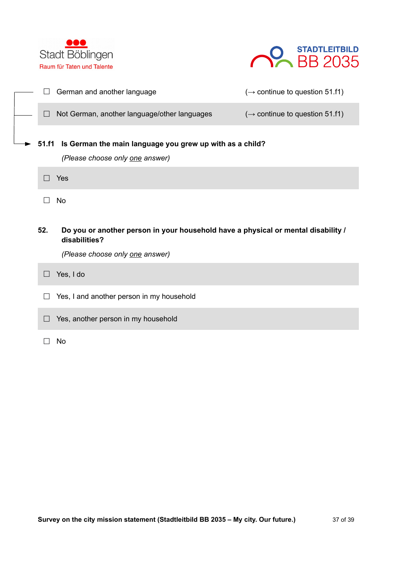



|              | German and another language                                                                        | $(\rightarrow$ continue to question 51.f1) |
|--------------|----------------------------------------------------------------------------------------------------|--------------------------------------------|
|              | Not German, another language/other languages                                                       | $(\rightarrow$ continue to question 51.f1) |
| <b>51.f1</b> | Is German the main language you grew up with as a child?<br>(Please choose only one answer)        |                                            |
|              | Yes                                                                                                |                                            |
|              | <b>No</b>                                                                                          |                                            |
|              |                                                                                                    |                                            |
| 52.          | Do you or another person in your household have a physical or mental disability /<br>disabilities? |                                            |
|              | (Please choose only one answer)                                                                    |                                            |
|              | Yes, I do                                                                                          |                                            |
|              | Yes, I and another person in my household                                                          |                                            |
| $\Box$       | Yes, another person in my household                                                                |                                            |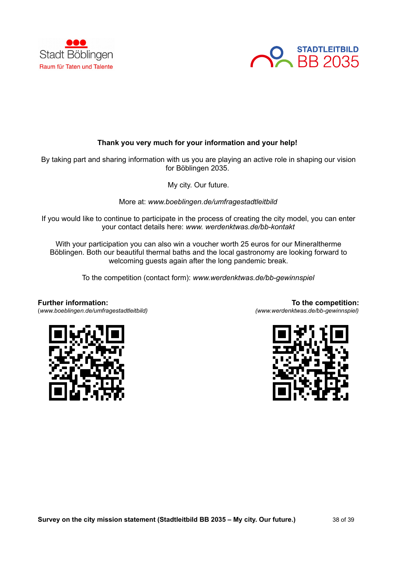



# **Thank you very much for your information and your help!**

By taking part and sharing information with us you are playing an active role in shaping our vision for Böblingen 2035.

My city. Our future.

More at: *www.boeblingen.de/umfragestadtleitbild*

If you would like to continue to participate in the process of creating the city model, you can enter your contact details here: *www. werdenktwas.de/bb-kontakt*

With your participation you can also win a voucher worth 25 euros for our Mineraltherme Böblingen. Both our beautiful thermal baths and the local gastronomy are looking forward to welcoming guests again after the long pandemic break.

To the competition (contact form): *www.werdenktwas.de/bb-gewinnspiel*

# **Further information:**

(*www.boeblingen.de/umfragestadtleitbild)*

**To the competition:** *(www.werdenktwas.de/bb-gewinnspiel)*